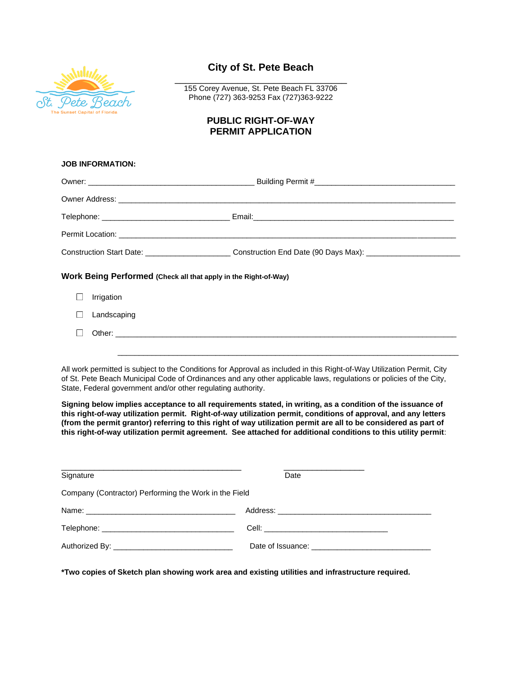

## **City of St. Pete Beach**

\_\_\_\_\_\_\_\_\_\_\_\_\_\_\_\_\_\_\_\_\_\_\_\_\_\_\_\_\_\_\_\_\_ 155 Corey Avenue, St. Pete Beach FL 33706 Phone (727) 363-9253 Fax (727)363-9222

## **PUBLIC RIGHT-OF-WAY PERMIT APPLICATION**

| <b>JOB INFORMATION:</b>                                                                                                                                                                                                                                                                                                                                                                                                                                           |                                                                                                                |  |
|-------------------------------------------------------------------------------------------------------------------------------------------------------------------------------------------------------------------------------------------------------------------------------------------------------------------------------------------------------------------------------------------------------------------------------------------------------------------|----------------------------------------------------------------------------------------------------------------|--|
|                                                                                                                                                                                                                                                                                                                                                                                                                                                                   |                                                                                                                |  |
|                                                                                                                                                                                                                                                                                                                                                                                                                                                                   |                                                                                                                |  |
|                                                                                                                                                                                                                                                                                                                                                                                                                                                                   |                                                                                                                |  |
|                                                                                                                                                                                                                                                                                                                                                                                                                                                                   |                                                                                                                |  |
|                                                                                                                                                                                                                                                                                                                                                                                                                                                                   | Construction Start Date: _______________________________Construction End Date (90 Days Max): _________________ |  |
| Work Being Performed (Check all that apply in the Right-of-Way)                                                                                                                                                                                                                                                                                                                                                                                                   |                                                                                                                |  |
| Irrigation                                                                                                                                                                                                                                                                                                                                                                                                                                                        |                                                                                                                |  |
| Landscaping                                                                                                                                                                                                                                                                                                                                                                                                                                                       |                                                                                                                |  |
|                                                                                                                                                                                                                                                                                                                                                                                                                                                                   |                                                                                                                |  |
|                                                                                                                                                                                                                                                                                                                                                                                                                                                                   |                                                                                                                |  |
| All work permitted is subject to the Conditions for Approval as included in this Right-of-Way Utilization Permit, City<br>of St. Pete Beach Municipal Code of Ordinances and any other applicable laws, regulations or policies of the City,<br>State, Federal government and/or other regulating authority.                                                                                                                                                      |                                                                                                                |  |
| Signing below implies acceptance to all requirements stated, in writing, as a condition of the issuance of<br>this right-of-way utilization permit. Right-of-way utilization permit, conditions of approval, and any letters<br>(from the permit grantor) referring to this right of way utilization permit are all to be considered as part of<br>this right-of-way utilization permit agreement. See attached for additional conditions to this utility permit: |                                                                                                                |  |

| Signature                                             | Date |
|-------------------------------------------------------|------|
| Company (Contractor) Performing the Work in the Field |      |
|                                                       |      |
|                                                       |      |
|                                                       |      |

**\*Two copies of Sketch plan showing work area and existing utilities and infrastructure required.**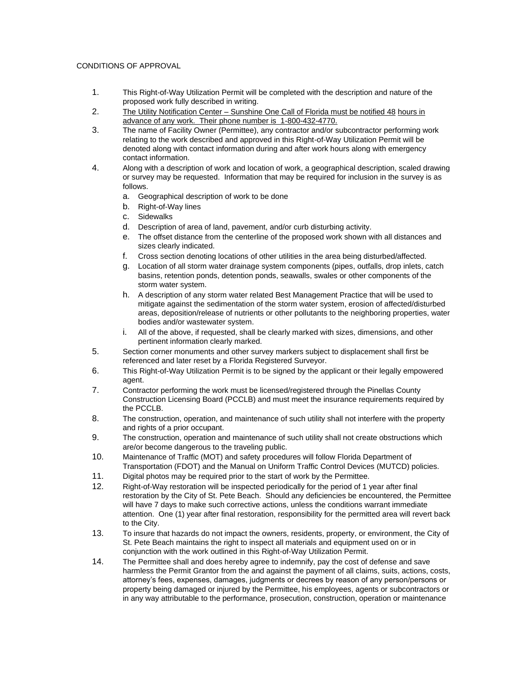## CONDITIONS OF APPROVAL

- 1. This Right-of-Way Utilization Permit will be completed with the description and nature of the proposed work fully described in writing.
- 2. The Utility Notification Center Sunshine One Call of Florida must be notified 48 hours in advance of any work. Their phone number is 1-800-432-4770.
- 3. The name of Facility Owner (Permittee), any contractor and/or subcontractor performing work relating to the work described and approved in this Right-of-Way Utilization Permit will be denoted along with contact information during and after work hours along with emergency contact information.
- 4. Along with a description of work and location of work, a geographical description, scaled drawing or survey may be requested. Information that may be required for inclusion in the survey is as follows.
	- a. Geographical description of work to be done
	- b. Right-of-Way lines
	- c. Sidewalks
	- d. Description of area of land, pavement, and/or curb disturbing activity.
	- e. The offset distance from the centerline of the proposed work shown with all distances and sizes clearly indicated.
	- f. Cross section denoting locations of other utilities in the area being disturbed/affected.
	- g. Location of all storm water drainage system components (pipes, outfalls, drop inlets, catch basins, retention ponds, detention ponds, seawalls, swales or other components of the storm water system.
	- h. A description of any storm water related Best Management Practice that will be used to mitigate against the sedimentation of the storm water system, erosion of affected/disturbed areas, deposition/release of nutrients or other pollutants to the neighboring properties, water bodies and/or wastewater system.
	- i. All of the above, if requested, shall be clearly marked with sizes, dimensions, and other pertinent information clearly marked.
- 5. Section corner monuments and other survey markers subject to displacement shall first be referenced and later reset by a Florida Registered Surveyor.
- 6. This Right-of-Way Utilization Permit is to be signed by the applicant or their legally empowered agent.
- 7. Contractor performing the work must be licensed/registered through the Pinellas County Construction Licensing Board (PCCLB) and must meet the insurance requirements required by the PCCLB.
- 8. The construction, operation, and maintenance of such utility shall not interfere with the property and rights of a prior occupant.
- 9. The construction, operation and maintenance of such utility shall not create obstructions which are/or become dangerous to the traveling public.
- 10. Maintenance of Traffic (MOT) and safety procedures will follow Florida Department of Transportation (FDOT) and the Manual on Uniform Traffic Control Devices (MUTCD) policies.
- 11. Digital photos may be required prior to the start of work by the Permittee.
- 12. Right-of-Way restoration will be inspected periodically for the period of 1 year after final restoration by the City of St. Pete Beach. Should any deficiencies be encountered, the Permittee will have 7 days to make such corrective actions, unless the conditions warrant immediate attention. One (1) year after final restoration, responsibility for the permitted area will revert back to the City.
- 13. To insure that hazards do not impact the owners, residents, property, or environment, the City of St. Pete Beach maintains the right to inspect all materials and equipment used on or in conjunction with the work outlined in this Right-of-Way Utilization Permit.
- 14. The Permittee shall and does hereby agree to indemnify, pay the cost of defense and save harmless the Permit Grantor from the and against the payment of all claims, suits, actions, costs, attorney's fees, expenses, damages, judgments or decrees by reason of any person/persons or property being damaged or injured by the Permittee, his employees, agents or subcontractors or in any way attributable to the performance, prosecution, construction, operation or maintenance